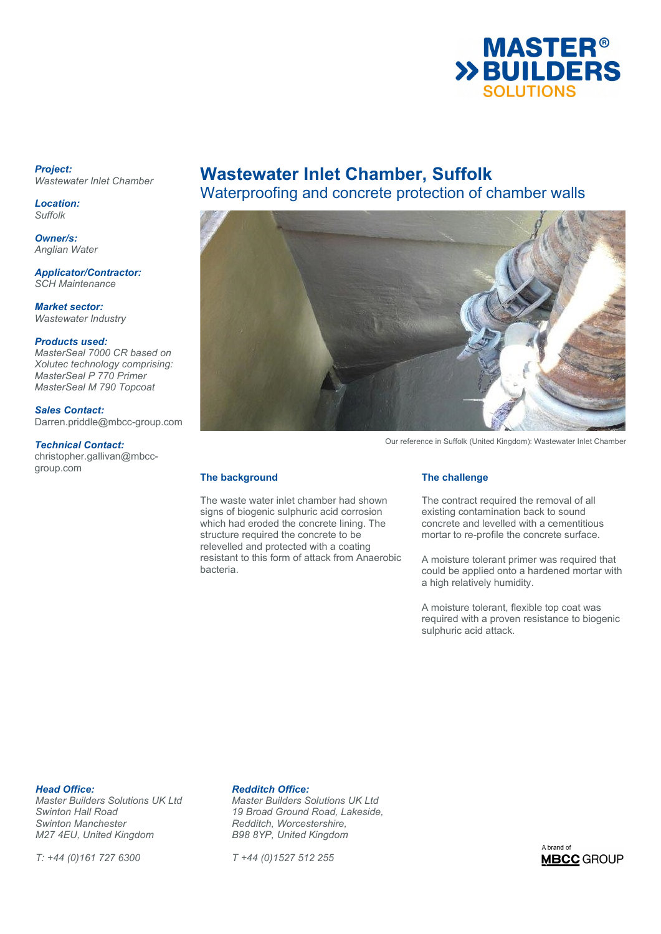

### *Project: Wastewater Inlet Chamber*

*Location: Suffolk* 

*Owner/s: Anglian Water*

*Applicator/Contractor: SCH Maintenance* 

*Market sector: Wastewater Industry* 

### *Products used:*

*MasterSeal 7000 CR based on Xolutec technology comprising: MasterSeal P 770 Primer MasterSeal M 790 Topcoat* 

### *Sales Contact:*

Darren.priddle@mbcc-group.com

### *Technical Contact:*

christopher.gallivan@mbccgroup.com

# **Wastewater Inlet Chamber, Suffolk**

Waterproofing and concrete protection of chamber walls



Our reference in Suffolk (United Kingdom): Wastewater Inlet Chamber

### **The background**

The waste water inlet chamber had shown signs of biogenic sulphuric acid corrosion which had eroded the concrete lining. The structure required the concrete to be relevelled and protected with a coating resistant to this form of attack from Anaerobic bacteria.

### **The challenge**

The contract required the removal of all existing contamination back to sound concrete and levelled with a cementitious mortar to re-profile the concrete surface.

A moisture tolerant primer was required that could be applied onto a hardened mortar with a high relatively humidity.

A moisture tolerant, flexible top coat was required with a proven resistance to biogenic sulphuric acid attack.

**Head Office: Redditch Office:**<br> *Master Builders Solutions UK Ltd* Master Builders S *Swinton Manchester Redditch, Worcestershire, M27 4EU, United Kingdom* 

*T: +44 (0)161 727 6300 T +44 (0)1527 512 255* 

*Master Builders Solutions UK Ltd Master Builders Solutions UK Ltd Swinton Hall Road 19 Broad Ground Road, Lakeside,* 

A brand of **MBCC** GROUP